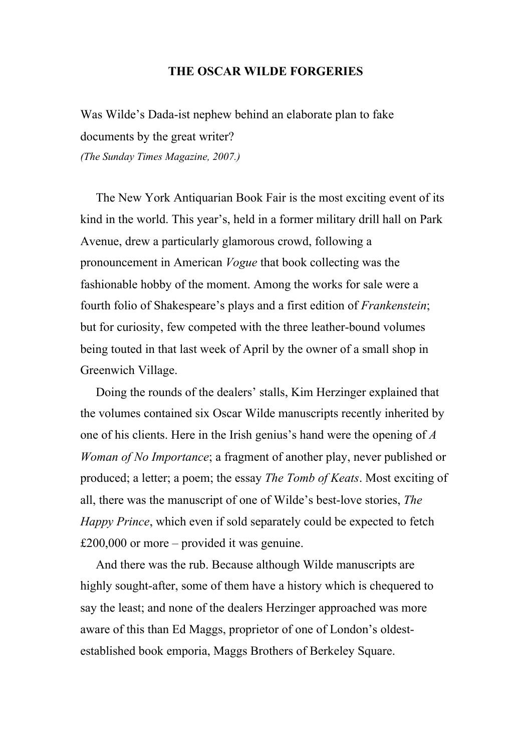## **THE OSCAR WILDE FORGERIES**

Was Wilde's Dada-ist nephew behind an elaborate plan to fake documents by the great writer? *(The Sunday Times Magazine, 2007.)*

 The New York Antiquarian Book Fair is the most exciting event of its kind in the world. This year's, held in a former military drill hall on Park Avenue, drew a particularly glamorous crowd, following a pronouncement in American *Vogue* that book collecting was the fashionable hobby of the moment. Among the works for sale were a fourth folio of Shakespeare's plays and a first edition of *Frankenstein*; but for curiosity, few competed with the three leather-bound volumes being touted in that last week of April by the owner of a small shop in Greenwich Village.

 Doing the rounds of the dealers' stalls, Kim Herzinger explained that the volumes contained six Oscar Wilde manuscripts recently inherited by one of his clients. Here in the Irish genius's hand were the opening of *A Woman of No Importance*; a fragment of another play, never published or produced; a letter; a poem; the essay *The Tomb of Keats*. Most exciting of all, there was the manuscript of one of Wilde's best-love stories, *The Happy Prince*, which even if sold separately could be expected to fetch £200,000 or more – provided it was genuine.

 And there was the rub. Because although Wilde manuscripts are highly sought-after, some of them have a history which is chequered to say the least; and none of the dealers Herzinger approached was more aware of this than Ed Maggs, proprietor of one of London's oldestestablished book emporia, Maggs Brothers of Berkeley Square.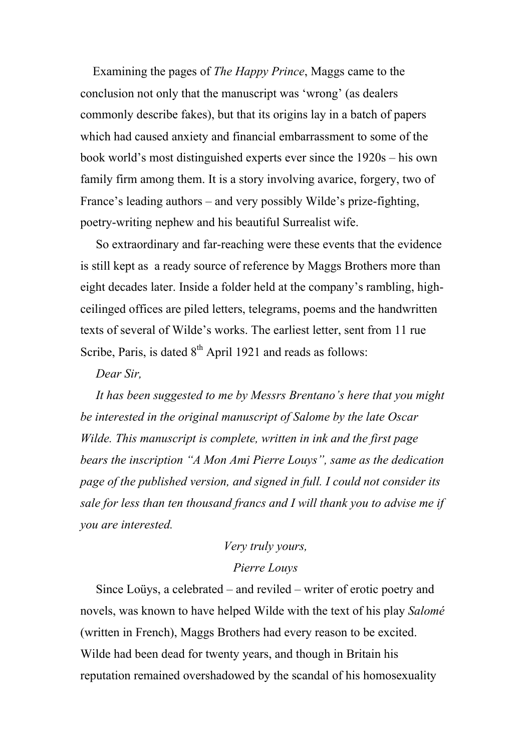Examining the pages of *The Happy Prince*, Maggs came to the conclusion not only that the manuscript was 'wrong' (as dealers commonly describe fakes), but that its origins lay in a batch of papers which had caused anxiety and financial embarrassment to some of the book world's most distinguished experts ever since the 1920s – his own family firm among them. It is a story involving avarice, forgery, two of France's leading authors – and very possibly Wilde's prize-fighting, poetry-writing nephew and his beautiful Surrealist wife.

 So extraordinary and far-reaching were these events that the evidence is still kept as a ready source of reference by Maggs Brothers more than eight decades later. Inside a folder held at the company's rambling, highceilinged offices are piled letters, telegrams, poems and the handwritten texts of several of Wilde's works. The earliest letter, sent from 11 rue Scribe, Paris, is dated  $8<sup>th</sup>$  April 1921 and reads as follows:

## *Dear Sir,*

 *It has been suggested to me by Messrs Brentano's here that you might be interested in the original manuscript of Salome by the late Oscar Wilde. This manuscript is complete, written in ink and the first page bears the inscription "A Mon Ami Pierre Louys", same as the dedication page of the published version, and signed in full. I could not consider its sale for less than ten thousand francs and I will thank you to advise me if you are interested.*

## *Very truly yours,*

## *Pierre Louys*

 Since Loüys, a celebrated – and reviled – writer of erotic poetry and novels, was known to have helped Wilde with the text of his play *Salomé* (written in French), Maggs Brothers had every reason to be excited. Wilde had been dead for twenty years, and though in Britain his reputation remained overshadowed by the scandal of his homosexuality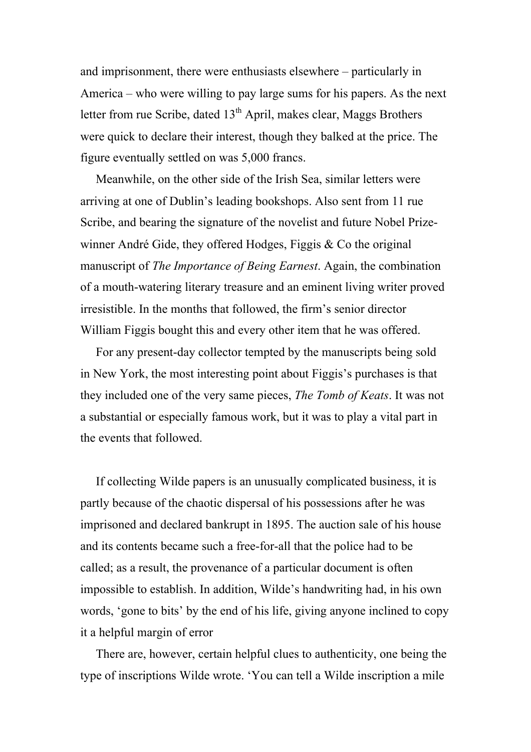and imprisonment, there were enthusiasts elsewhere – particularly in America – who were willing to pay large sums for his papers. As the next letter from rue Scribe, dated  $13<sup>th</sup>$  April, makes clear, Maggs Brothers were quick to declare their interest, though they balked at the price. The figure eventually settled on was 5,000 francs.

 Meanwhile, on the other side of the Irish Sea, similar letters were arriving at one of Dublin's leading bookshops. Also sent from 11 rue Scribe, and bearing the signature of the novelist and future Nobel Prizewinner André Gide, they offered Hodges, Figgis & Co the original manuscript of *The Importance of Being Earnest*. Again, the combination of a mouth-watering literary treasure and an eminent living writer proved irresistible. In the months that followed, the firm's senior director William Figgis bought this and every other item that he was offered.

 For any present-day collector tempted by the manuscripts being sold in New York, the most interesting point about Figgis's purchases is that they included one of the very same pieces, *The Tomb of Keats*. It was not a substantial or especially famous work, but it was to play a vital part in the events that followed.

 If collecting Wilde papers is an unusually complicated business, it is partly because of the chaotic dispersal of his possessions after he was imprisoned and declared bankrupt in 1895. The auction sale of his house and its contents became such a free-for-all that the police had to be called; as a result, the provenance of a particular document is often impossible to establish. In addition, Wilde's handwriting had, in his own words, 'gone to bits' by the end of his life, giving anyone inclined to copy it a helpful margin of error

 There are, however, certain helpful clues to authenticity, one being the type of inscriptions Wilde wrote. 'You can tell a Wilde inscription a mile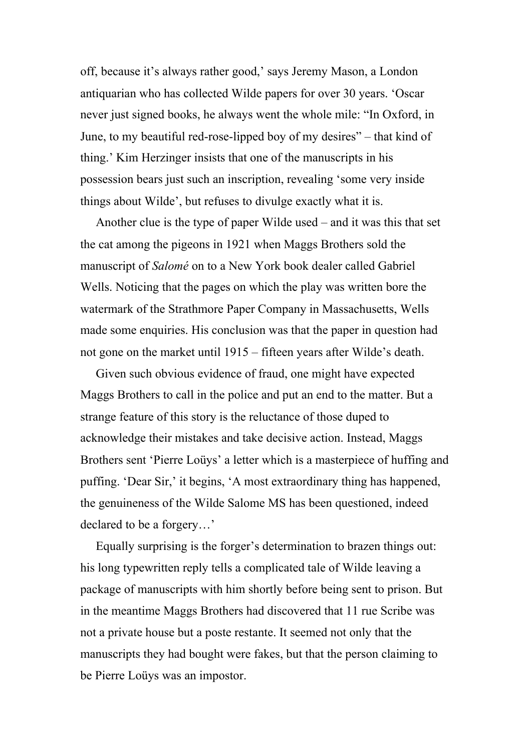off, because it's always rather good,' says Jeremy Mason, a London antiquarian who has collected Wilde papers for over 30 years. 'Oscar never just signed books, he always went the whole mile: "In Oxford, in June, to my beautiful red-rose-lipped boy of my desires" – that kind of thing.' Kim Herzinger insists that one of the manuscripts in his possession bears just such an inscription, revealing 'some very inside things about Wilde', but refuses to divulge exactly what it is.

 Another clue is the type of paper Wilde used – and it was this that set the cat among the pigeons in 1921 when Maggs Brothers sold the manuscript of *Salomé* on to a New York book dealer called Gabriel Wells. Noticing that the pages on which the play was written bore the watermark of the Strathmore Paper Company in Massachusetts, Wells made some enquiries. His conclusion was that the paper in question had not gone on the market until 1915 – fifteen years after Wilde's death.

 Given such obvious evidence of fraud, one might have expected Maggs Brothers to call in the police and put an end to the matter. But a strange feature of this story is the reluctance of those duped to acknowledge their mistakes and take decisive action. Instead, Maggs Brothers sent 'Pierre Loüys' a letter which is a masterpiece of huffing and puffing. 'Dear Sir,' it begins, 'A most extraordinary thing has happened, the genuineness of the Wilde Salome MS has been questioned, indeed declared to be a forgery…'

 Equally surprising is the forger's determination to brazen things out: his long typewritten reply tells a complicated tale of Wilde leaving a package of manuscripts with him shortly before being sent to prison. But in the meantime Maggs Brothers had discovered that 11 rue Scribe was not a private house but a poste restante. It seemed not only that the manuscripts they had bought were fakes, but that the person claiming to be Pierre Loüys was an impostor.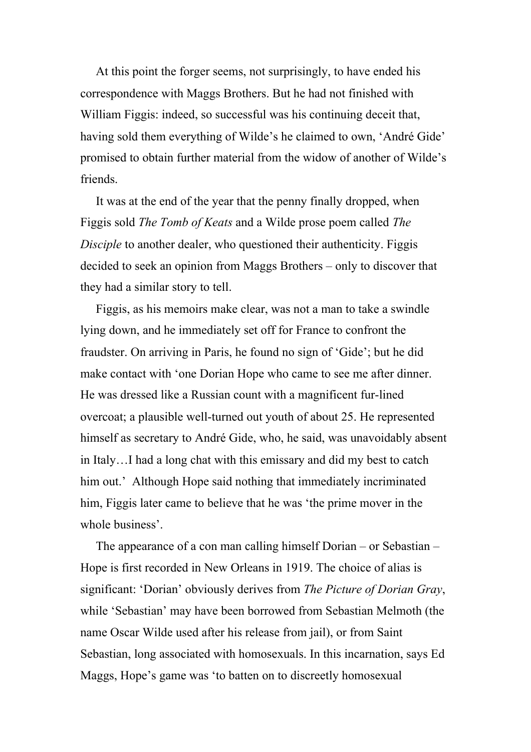At this point the forger seems, not surprisingly, to have ended his correspondence with Maggs Brothers. But he had not finished with William Figgis: indeed, so successful was his continuing deceit that, having sold them everything of Wilde's he claimed to own, 'André Gide' promised to obtain further material from the widow of another of Wilde's friends.

 It was at the end of the year that the penny finally dropped, when Figgis sold *The Tomb of Keats* and a Wilde prose poem called *The Disciple* to another dealer, who questioned their authenticity. Figgis decided to seek an opinion from Maggs Brothers – only to discover that they had a similar story to tell.

 Figgis, as his memoirs make clear, was not a man to take a swindle lying down, and he immediately set off for France to confront the fraudster. On arriving in Paris, he found no sign of 'Gide'; but he did make contact with 'one Dorian Hope who came to see me after dinner. He was dressed like a Russian count with a magnificent fur-lined overcoat; a plausible well-turned out youth of about 25. He represented himself as secretary to André Gide, who, he said, was unavoidably absent in Italy…I had a long chat with this emissary and did my best to catch him out.' Although Hope said nothing that immediately incriminated him, Figgis later came to believe that he was 'the prime mover in the whole business'.

 The appearance of a con man calling himself Dorian – or Sebastian – Hope is first recorded in New Orleans in 1919. The choice of alias is significant: 'Dorian' obviously derives from *The Picture of Dorian Gray*, while 'Sebastian' may have been borrowed from Sebastian Melmoth (the name Oscar Wilde used after his release from jail), or from Saint Sebastian, long associated with homosexuals. In this incarnation, says Ed Maggs, Hope's game was 'to batten on to discreetly homosexual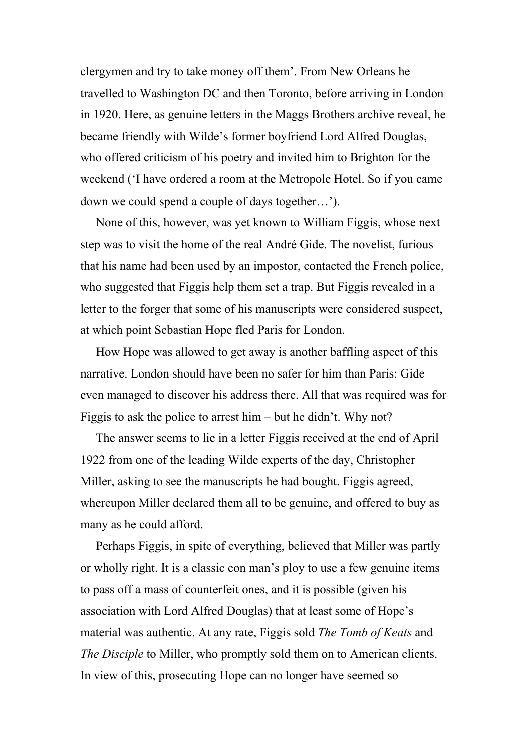clergymen and try to take money off them'. From New Orleans he travelled to Washington DC and then Toronto, before arriving in London in 1920. Here, as genuine letters in the Maggs Brothers archive reveal, he became friendly with Wilde's former boyfriend Lord Alfred Douglas, who offered criticism of his poetry and invited him to Brighton for the weekend ('I have ordered a room at the Metropole Hotel. So if you came down we could spend a couple of days together…').

 None of this, however, was yet known to William Figgis, whose next step was to visit the home of the real André Gide. The novelist, furious that his name had been used by an impostor, contacted the French police, who suggested that Figgis help them set a trap. But Figgis revealed in a letter to the forger that some of his manuscripts were considered suspect, at which point Sebastian Hope fled Paris for London.

 How Hope was allowed to get away is another baffling aspect of this narrative. London should have been no safer for him than Paris: Gide even managed to discover his address there. All that was required was for Figgis to ask the police to arrest him – but he didn't. Why not?

 The answer seems to lie in a letter Figgis received at the end of April 1922 from one of the leading Wilde experts of the day, Christopher Miller, asking to see the manuscripts he had bought. Figgis agreed, whereupon Miller declared them all to be genuine, and offered to buy as many as he could afford.

 Perhaps Figgis, in spite of everything, believed that Miller was partly or wholly right. It is a classic con man's ploy to use a few genuine items to pass off a mass of counterfeit ones, and it is possible (given his association with Lord Alfred Douglas) that at least some of Hope's material was authentic. At any rate, Figgis sold *The Tomb of Keats* and *The Disciple* to Miller, who promptly sold them on to American clients. In view of this, prosecuting Hope can no longer have seemed so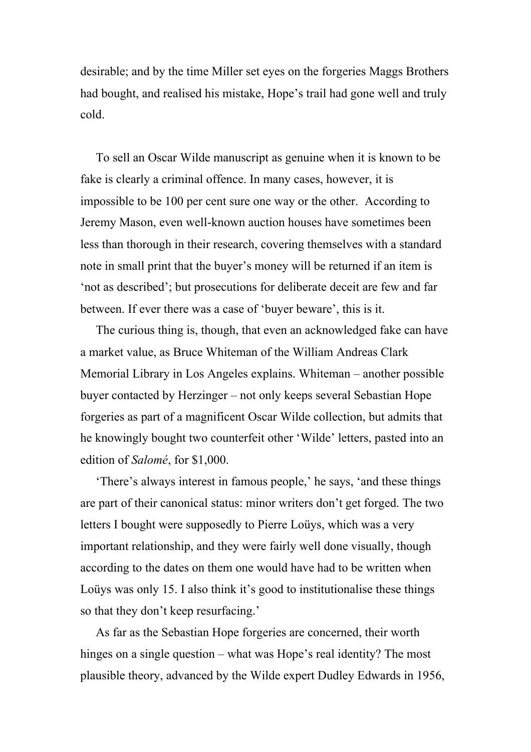desirable; and by the time Miller set eyes on the forgeries Maggs Brothers had bought, and realised his mistake, Hope's trail had gone well and truly cold.

 To sell an Oscar Wilde manuscript as genuine when it is known to be fake is clearly a criminal offence. In many cases, however, it is impossible to be 100 per cent sure one way or the other. According to Jeremy Mason, even well-known auction houses have sometimes been less than thorough in their research, covering themselves with a standard note in small print that the buyer's money will be returned if an item is 'not as described'; but prosecutions for deliberate deceit are few and far between. If ever there was a case of 'buyer beware', this is it.

 The curious thing is, though, that even an acknowledged fake can have a market value, as Bruce Whiteman of the William Andreas Clark Memorial Library in Los Angeles explains. Whiteman – another possible buyer contacted by Herzinger – not only keeps several Sebastian Hope forgeries as part of a magnificent Oscar Wilde collection, but admits that he knowingly bought two counterfeit other 'Wilde' letters, pasted into an edition of *Salomé*, for \$1,000.

 'There's always interest in famous people,' he says, 'and these things are part of their canonical status: minor writers don't get forged. The two letters I bought were supposedly to Pierre Loüys, which was a very important relationship, and they were fairly well done visually, though according to the dates on them one would have had to be written when Loüys was only 15. I also think it's good to institutionalise these things so that they don't keep resurfacing.'

 As far as the Sebastian Hope forgeries are concerned, their worth hinges on a single question – what was Hope's real identity? The most plausible theory, advanced by the Wilde expert Dudley Edwards in 1956,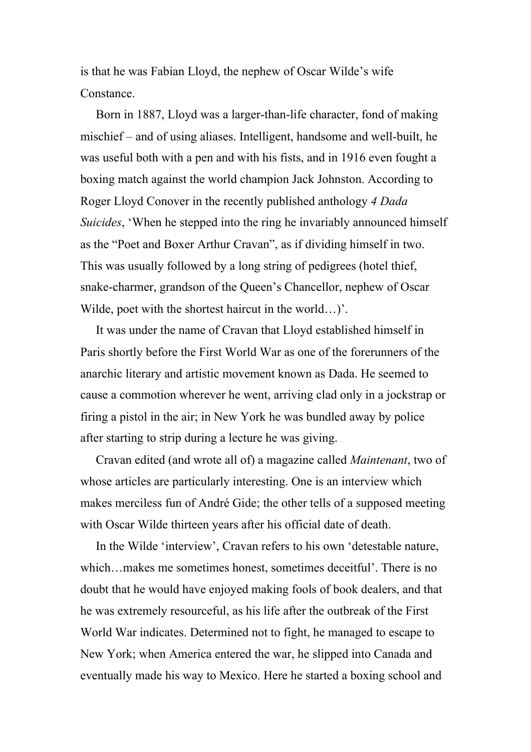is that he was Fabian Lloyd, the nephew of Oscar Wilde's wife Constance.

 Born in 1887, Lloyd was a larger-than-life character, fond of making mischief – and of using aliases. Intelligent, handsome and well-built, he was useful both with a pen and with his fists, and in 1916 even fought a boxing match against the world champion Jack Johnston. According to Roger Lloyd Conover in the recently published anthology *4 Dada Suicides*, 'When he stepped into the ring he invariably announced himself as the "Poet and Boxer Arthur Cravan", as if dividing himself in two. This was usually followed by a long string of pedigrees (hotel thief, snake-charmer, grandson of the Queen's Chancellor, nephew of Oscar Wilde, poet with the shortest haircut in the world…)'.

 It was under the name of Cravan that Lloyd established himself in Paris shortly before the First World War as one of the forerunners of the anarchic literary and artistic movement known as Dada. He seemed to cause a commotion wherever he went, arriving clad only in a jockstrap or firing a pistol in the air; in New York he was bundled away by police after starting to strip during a lecture he was giving.

 Cravan edited (and wrote all of) a magazine called *Maintenant*, two of whose articles are particularly interesting. One is an interview which makes merciless fun of André Gide; the other tells of a supposed meeting with Oscar Wilde thirteen years after his official date of death.

 In the Wilde 'interview', Cravan refers to his own 'detestable nature, which…makes me sometimes honest, sometimes deceitful'. There is no doubt that he would have enjoyed making fools of book dealers, and that he was extremely resourceful, as his life after the outbreak of the First World War indicates. Determined not to fight, he managed to escape to New York; when America entered the war, he slipped into Canada and eventually made his way to Mexico. Here he started a boxing school and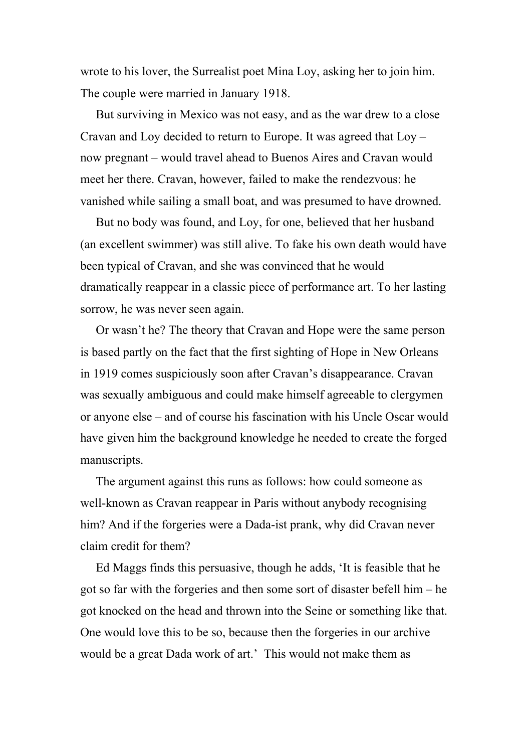wrote to his lover, the Surrealist poet Mina Loy, asking her to join him. The couple were married in January 1918.

 But surviving in Mexico was not easy, and as the war drew to a close Cravan and Loy decided to return to Europe. It was agreed that Loy – now pregnant – would travel ahead to Buenos Aires and Cravan would meet her there. Cravan, however, failed to make the rendezvous: he vanished while sailing a small boat, and was presumed to have drowned.

 But no body was found, and Loy, for one, believed that her husband (an excellent swimmer) was still alive. To fake his own death would have been typical of Cravan, and she was convinced that he would dramatically reappear in a classic piece of performance art. To her lasting sorrow, he was never seen again.

 Or wasn't he? The theory that Cravan and Hope were the same person is based partly on the fact that the first sighting of Hope in New Orleans in 1919 comes suspiciously soon after Cravan's disappearance. Cravan was sexually ambiguous and could make himself agreeable to clergymen or anyone else – and of course his fascination with his Uncle Oscar would have given him the background knowledge he needed to create the forged manuscripts.

 The argument against this runs as follows: how could someone as well-known as Cravan reappear in Paris without anybody recognising him? And if the forgeries were a Dada-ist prank, why did Cravan never claim credit for them?

 Ed Maggs finds this persuasive, though he adds, 'It is feasible that he got so far with the forgeries and then some sort of disaster befell him – he got knocked on the head and thrown into the Seine or something like that. One would love this to be so, because then the forgeries in our archive would be a great Dada work of art.' This would not make them as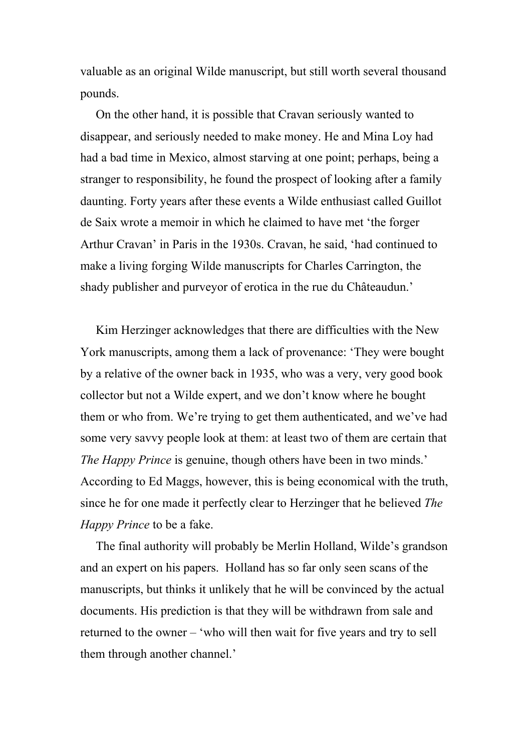valuable as an original Wilde manuscript, but still worth several thousand pounds.

 On the other hand, it is possible that Cravan seriously wanted to disappear, and seriously needed to make money. He and Mina Loy had had a bad time in Mexico, almost starving at one point; perhaps, being a stranger to responsibility, he found the prospect of looking after a family daunting. Forty years after these events a Wilde enthusiast called Guillot de Saix wrote a memoir in which he claimed to have met 'the forger Arthur Cravan' in Paris in the 1930s. Cravan, he said, 'had continued to make a living forging Wilde manuscripts for Charles Carrington, the shady publisher and purveyor of erotica in the rue du Châteaudun.'

 Kim Herzinger acknowledges that there are difficulties with the New York manuscripts, among them a lack of provenance: 'They were bought by a relative of the owner back in 1935, who was a very, very good book collector but not a Wilde expert, and we don't know where he bought them or who from. We're trying to get them authenticated, and we've had some very savvy people look at them: at least two of them are certain that *The Happy Prince* is genuine, though others have been in two minds.' According to Ed Maggs, however, this is being economical with the truth, since he for one made it perfectly clear to Herzinger that he believed *The Happy Prince* to be a fake.

 The final authority will probably be Merlin Holland, Wilde's grandson and an expert on his papers. Holland has so far only seen scans of the manuscripts, but thinks it unlikely that he will be convinced by the actual documents. His prediction is that they will be withdrawn from sale and returned to the owner – 'who will then wait for five years and try to sell them through another channel.'